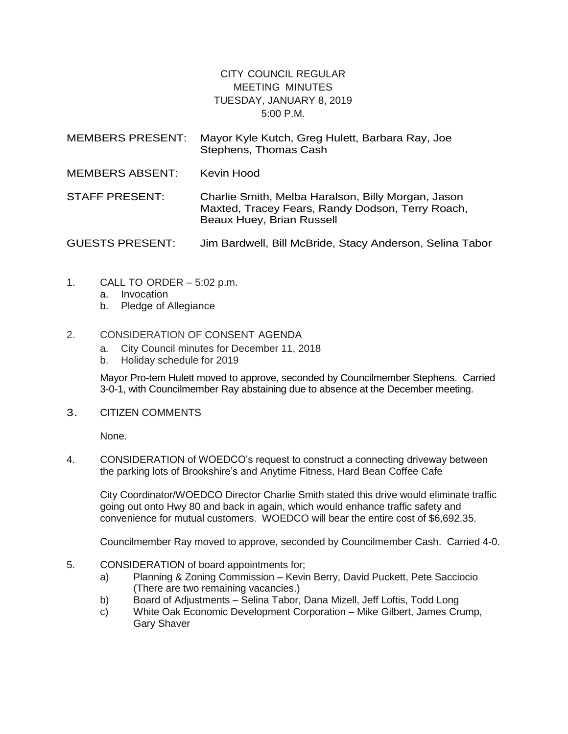## CITY COUNCIL REGULAR MEETING MINUTES TUESDAY, JANUARY 8, 2019 5:00 P.M.

| <b>MEMBERS PRESENT:</b> | Mayor Kyle Kutch, Greg Hulett, Barbara Ray, Joe<br>Stephens, Thomas Cash                                                            |
|-------------------------|-------------------------------------------------------------------------------------------------------------------------------------|
| <b>MEMBERS ABSENT:</b>  | Kevin Hood                                                                                                                          |
| <b>STAFF PRESENT:</b>   | Charlie Smith, Melba Haralson, Billy Morgan, Jason<br>Maxted, Tracey Fears, Randy Dodson, Terry Roach,<br>Beaux Huey, Brian Russell |
| <b>GUESTS PRESENT:</b>  | Jim Bardwell, Bill McBride, Stacy Anderson, Selina Tabor                                                                            |

- 1. CALL TO ORDER 5:02 p.m.
	- a. Invocation
	- b. Pledge of Allegiance

## 2. CONSIDERATION OF CONSENT AGENDA

- a. City Council minutes for December 11, 2018
- b. Holiday schedule for 2019

Mayor Pro-tem Hulett moved to approve, seconded by Councilmember Stephens. Carried 3-0-1, with Councilmember Ray abstaining due to absence at the December meeting.

3. CITIZEN COMMENTS

None.

4. CONSIDERATION of WOEDCO's request to construct a connecting driveway between the parking lots of Brookshire's and Anytime Fitness, Hard Bean Coffee Cafe

City Coordinator/WOEDCO Director Charlie Smith stated this drive would eliminate traffic going out onto Hwy 80 and back in again, which would enhance traffic safety and convenience for mutual customers. WOEDCO will bear the entire cost of \$6,692.35.

Councilmember Ray moved to approve, seconded by Councilmember Cash. Carried 4-0.

- 5. CONSIDERATION of board appointments for;
	- a) Planning & Zoning Commission Kevin Berry, David Puckett, Pete Sacciocio (There are two remaining vacancies.)
	- b) Board of Adjustments Selina Tabor, Dana Mizell, Jeff Loftis, Todd Long
	- c) White Oak Economic Development Corporation Mike Gilbert, James Crump, Gary Shaver